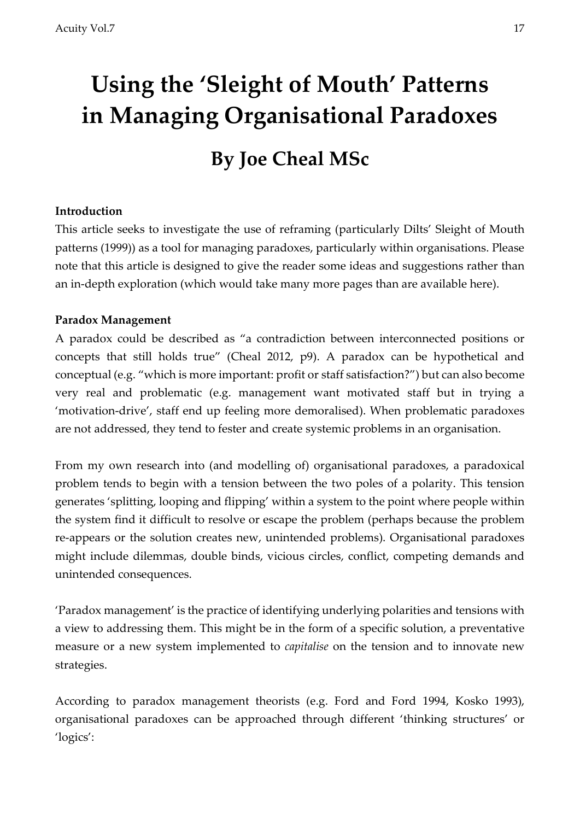# **Using the 'Sleight of Mouth' Patterns in Managing Organisational Paradoxes**

# **By Joe Cheal MSc**

## **Introduction**

This article seeks to investigate the use of reframing (particularly Dilts' Sleight of Mouth patterns (1999)) as a tool for managing paradoxes, particularly within organisations. Please note that this article is designed to give the reader some ideas and suggestions rather than an in-depth exploration (which would take many more pages than are available here).

# **Paradox Management**

A paradox could be described as "a contradiction between interconnected positions or concepts that still holds true" (Cheal 2012, p9). A paradox can be hypothetical and conceptual (e.g. "which is more important: profit or staff satisfaction?") but can also become very real and problematic (e.g. management want motivated staff but in trying a 'motivation-drive', staff end up feeling more demoralised). When problematic paradoxes are not addressed, they tend to fester and create systemic problems in an organisation.

From my own research into (and modelling of) organisational paradoxes, a paradoxical problem tends to begin with a tension between the two poles of a polarity. This tension generates 'splitting, looping and flipping' within a system to the point where people within the system find it difficult to resolve or escape the problem (perhaps because the problem re-appears or the solution creates new, unintended problems). Organisational paradoxes might include dilemmas, double binds, vicious circles, conflict, competing demands and unintended consequences.

'Paradox management' is the practice of identifying underlying polarities and tensions with a view to addressing them. This might be in the form of a specific solution, a preventative measure or a new system implemented to *capitalise* on the tension and to innovate new strategies.

According to paradox management theorists (e.g. Ford and Ford 1994, Kosko 1993), organisational paradoxes can be approached through different 'thinking structures' or 'logics':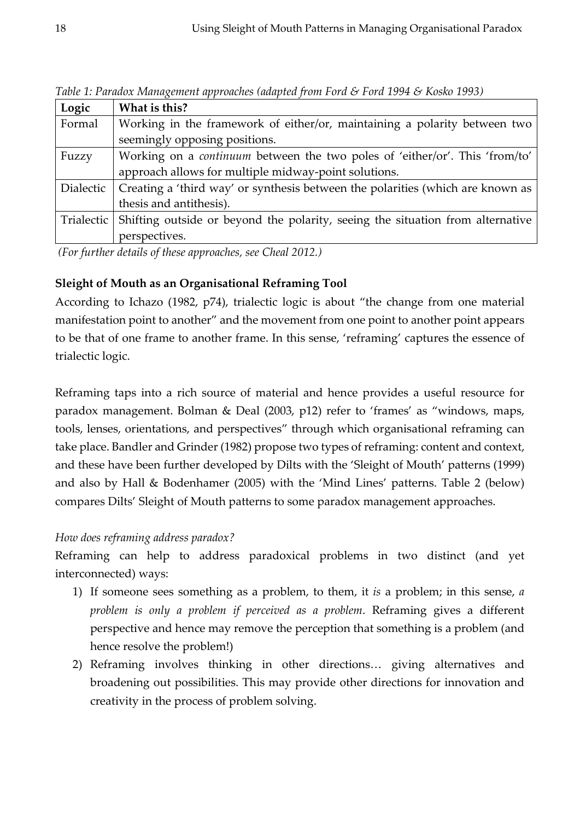| Logic      | What is this?                                                                      |
|------------|------------------------------------------------------------------------------------|
| Formal     | Working in the framework of either/or, maintaining a polarity between two          |
|            | seemingly opposing positions.                                                      |
| Fuzzy      | Working on a <i>continuum</i> between the two poles of 'either/or'. This 'from/to' |
|            | approach allows for multiple midway-point solutions.                               |
| Dialectic  | Creating a 'third way' or synthesis between the polarities (which are known as     |
|            | thesis and antithesis).                                                            |
| Trialectic | Shifting outside or beyond the polarity, seeing the situation from alternative     |
|            | perspectives.                                                                      |

*Table 1: Paradox Management approaches (adapted from Ford & Ford 1994 & Kosko 1993)*

*(For further details of these approaches, see Cheal 2012.)*

#### **Sleight of Mouth as an Organisational Reframing Tool**

According to Ichazo (1982, p74), trialectic logic is about "the change from one material manifestation point to another" and the movement from one point to another point appears to be that of one frame to another frame. In this sense, 'reframing' captures the essence of trialectic logic.

Reframing taps into a rich source of material and hence provides a useful resource for paradox management. Bolman & Deal (2003, p12) refer to 'frames' as "windows, maps, tools, lenses, orientations, and perspectives" through which organisational reframing can take place. Bandler and Grinder (1982) propose two types of reframing: content and context, and these have been further developed by Dilts with the 'Sleight of Mouth' patterns (1999) and also by Hall & Bodenhamer (2005) with the 'Mind Lines' patterns. Table 2 (below) compares Dilts' Sleight of Mouth patterns to some paradox management approaches.

#### *How does reframing address paradox?*

Reframing can help to address paradoxical problems in two distinct (and yet interconnected) ways:

- 1) If someone sees something as a problem, to them, it *is* a problem; in this sense, *a problem is only a problem if perceived as a problem*. Reframing gives a different perspective and hence may remove the perception that something is a problem (and hence resolve the problem!)
- 2) Reframing involves thinking in other directions… giving alternatives and broadening out possibilities. This may provide other directions for innovation and creativity in the process of problem solving.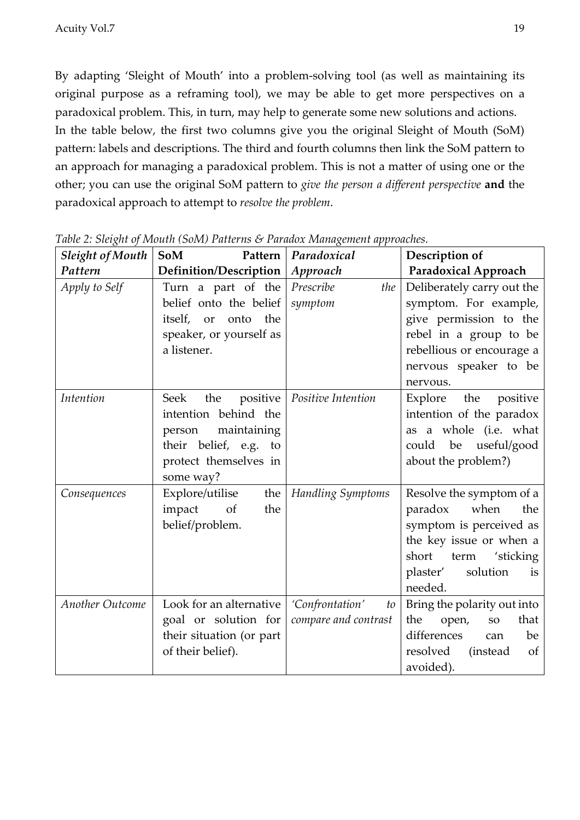By adapting 'Sleight of Mouth' into a problem-solving tool (as well as maintaining its original purpose as a reframing tool), we may be able to get more perspectives on a paradoxical problem. This, in turn, may help to generate some new solutions and actions. In the table below, the first two columns give you the original Sleight of Mouth (SoM) pattern: labels and descriptions. The third and fourth columns then link the SoM pattern to an approach for managing a paradoxical problem. This is not a matter of using one or the other; you can use the original SoM pattern to *give the person a different perspective* **and** the paradoxical approach to attempt to *resolve the problem*.

| <b>Sleight of Mouth</b> | <b>SoM</b><br>Pattern     | Paradoxical           | Description of                     |
|-------------------------|---------------------------|-----------------------|------------------------------------|
| Pattern                 | Definition/Description    | Approach              | <b>Paradoxical Approach</b>        |
| Apply to Self           | Turn a part of the        | Prescribe<br>the      | Deliberately carry out the         |
|                         | belief onto the belief    | symptom               | symptom. For example,              |
|                         | itself,<br>onto the<br>or |                       | give permission to the             |
|                         | speaker, or yourself as   |                       | rebel in a group to be             |
|                         | a listener.               |                       | rebellious or encourage a          |
|                         |                           |                       | nervous speaker to be              |
|                         |                           |                       | nervous.                           |
| Intention               | Seek<br>positive<br>the   | Positive Intention    | Explore the positive               |
|                         | intention behind the      |                       | intention of the paradox           |
|                         | maintaining<br>person     |                       | as a whole (i.e. what              |
|                         | their belief, e.g. to     |                       | be useful/good<br>could            |
|                         | protect themselves in     |                       | about the problem?)                |
|                         | some way?                 |                       |                                    |
| Consequences            | Explore/utilise<br>the    | Handling Symptoms     | Resolve the symptom of a           |
|                         | impact<br>the<br>of       |                       | paradox<br>when<br>the             |
|                         | belief/problem.           |                       | symptom is perceived as            |
|                         |                           |                       | the key issue or when a            |
|                         |                           |                       | short<br>term<br>'sticking         |
|                         |                           |                       | solution<br>plaster'<br>is         |
|                         |                           |                       | needed.                            |
| Another Outcome         | Look for an alternative   | 'Confrontation'<br>to | Bring the polarity out into        |
|                         | goal or solution for      | compare and contrast  | open,<br>the<br>that<br>${\bf SO}$ |
|                         | their situation (or part  |                       | differences<br>be<br>can           |
|                         | of their belief).         |                       | resolved (instead<br>of            |
|                         |                           |                       | avoided).                          |

*Table 2: Sleight of Mouth (SoM) Patterns & Paradox Management approaches.*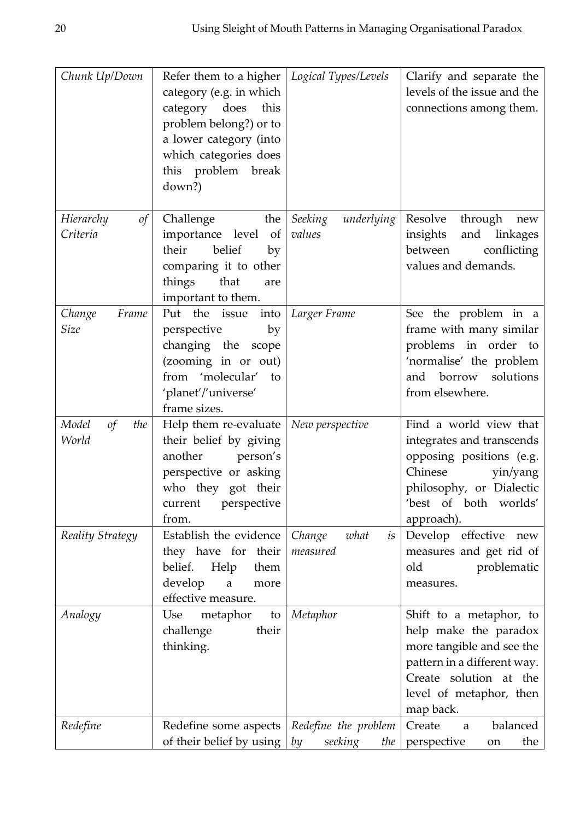| Chunk Up/Down                       | Refer them to a higher<br>category (e.g. in which<br>category does<br>this<br>problem belong?) or to<br>a lower category (into<br>which categories does<br>this problem break<br>down?) | Logical Types/Levels                         | Clarify and separate the<br>levels of the issue and the<br>connections among them.                                                                                             |
|-------------------------------------|-----------------------------------------------------------------------------------------------------------------------------------------------------------------------------------------|----------------------------------------------|--------------------------------------------------------------------------------------------------------------------------------------------------------------------------------|
| $\circ f$<br>Hierarchy<br>Criteria  | Challenge<br>the<br>importance level of<br>their<br>belief<br>by<br>comparing it to other<br>things<br>that<br>are<br>important to them.                                                | Seeking<br>underlying<br>values              | Resolve<br>through<br>new<br>and linkages<br>insights<br>between<br>conflicting<br>values and demands.                                                                         |
| Change<br>Frame<br>Size             | Put the issue into<br>perspective<br>by<br>changing the scope<br>(zooming in or out)<br>from 'molecular' to<br>'planet'/'universe'<br>frame sizes.                                      | Larger Frame                                 | See the problem in a<br>frame with many similar<br>problems in order to<br>'normalise' the problem<br>borrow solutions<br>and<br>from elsewhere.                               |
| $\sigma f$<br>Model<br>the<br>World | Help them re-evaluate $ $<br>their belief by giving<br>another<br>person's<br>perspective or asking<br>who they got their<br>current perspective<br>from.                               | New perspective                              | Find a world view that<br>integrates and transcends<br>opposing positions (e.g.<br>Chinese<br>yin/yang<br>philosophy, or Dialectic<br>'best of both worlds'<br>approach).      |
| Reality Strategy                    | Establish the evidence<br>they have for their<br>belief.<br>Help<br>them<br>develop<br>a<br>more<br>effective measure.                                                                  | Change<br>what<br>is<br>measured             | Develop effective new<br>measures and get rid of<br>old<br>problematic<br>measures.                                                                                            |
| Analogy                             | Use<br>metaphor<br>to<br>challenge<br>their<br>thinking.                                                                                                                                | Metaphor                                     | Shift to a metaphor, to<br>help make the paradox<br>more tangible and see the<br>pattern in a different way.<br>Create solution at the<br>level of metaphor, then<br>map back. |
| Redefine                            | Redefine some aspects<br>of their belief by using $ $                                                                                                                                   | Redefine the problem<br>by<br>seeking<br>the | Create<br>balanced<br>a<br>perspective<br>the<br>on                                                                                                                            |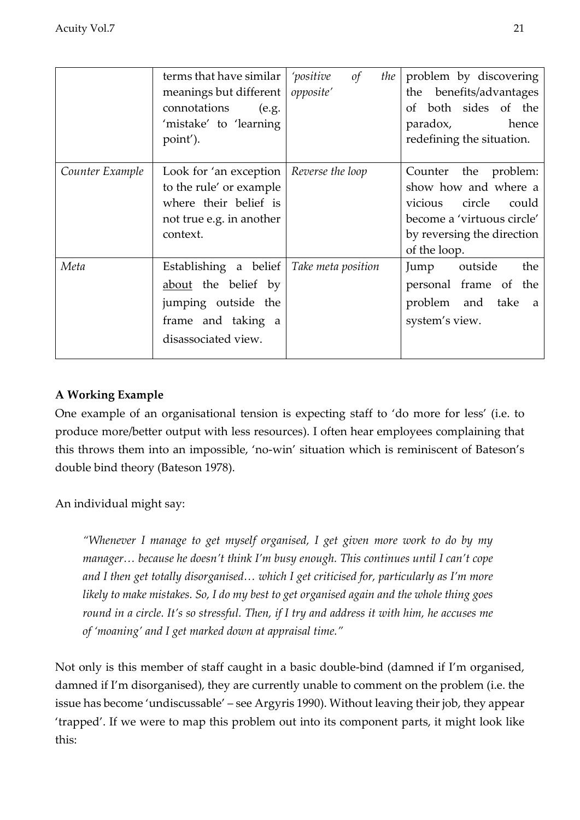|                 | terms that have similar<br>meanings but different<br>connotations<br>(e.g.<br>'mistake' to 'learning<br>point').           | 'positive<br>$\sigma f$<br>the<br>opposite' | problem by discovering<br>benefits/advantages<br>the<br>of both sides of the<br>paradox, hence<br>redefining the situation.                         |
|-----------------|----------------------------------------------------------------------------------------------------------------------------|---------------------------------------------|-----------------------------------------------------------------------------------------------------------------------------------------------------|
| Counter Example | Look for 'an exception $\vert$<br>to the rule' or example<br>where their belief is<br>not true e.g. in another<br>context. | Reverse the loop                            | Counter the problem:<br>show how and where a<br>circle could<br>vicious<br>become a 'virtuous circle'<br>by reversing the direction<br>of the loop. |
| Meta            | Establishing a belief<br>about the belief by<br>jumping outside the<br>frame and taking a<br>disassociated view.           | Take meta position                          | the<br>Jump<br>outside<br>personal frame of the<br>problem and take<br><sub>a</sub><br>system's view.                                               |

### **A Working Example**

One example of an organisational tension is expecting staff to 'do more for less' (i.e. to produce more/better output with less resources). I often hear employees complaining that this throws them into an impossible, 'no-win' situation which is reminiscent of Bateson's double bind theory (Bateson 1978).

An individual might say:

*"Whenever I manage to get myself organised, I get given more work to do by my manager… because he doesn't think I'm busy enough. This continues until I can't cope and I then get totally disorganised… which I get criticised for, particularly as I'm more likely to make mistakes. So, I do my best to get organised again and the whole thing goes round in a circle. It's so stressful. Then, if I try and address it with him, he accuses me of 'moaning' and I get marked down at appraisal time."*

Not only is this member of staff caught in a basic double-bind (damned if I'm organised, damned if I'm disorganised), they are currently unable to comment on the problem (i.e. the issue has become 'undiscussable' – see Argyris 1990). Without leaving their job, they appear 'trapped'. If we were to map this problem out into its component parts, it might look like this: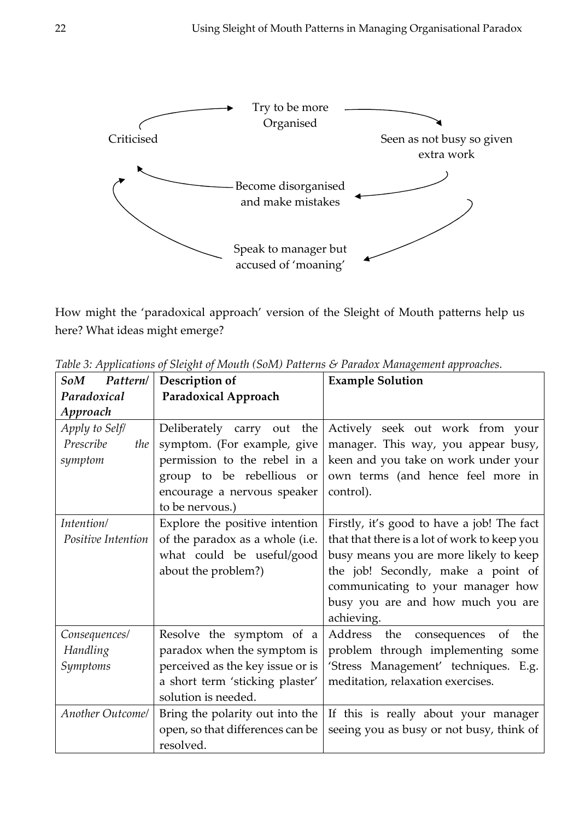

How might the 'paradoxical approach' version of the Sleight of Mouth patterns help us here? What ideas might emerge?

| Pattern/<br>SoM         | Description of                   | <b>Example Solution</b>                             |  |
|-------------------------|----------------------------------|-----------------------------------------------------|--|
| Paradoxical             | <b>Paradoxical Approach</b>      |                                                     |  |
| Approach                |                                  |                                                     |  |
| Apply to Self/          | the<br>Deliberately carry out    | Actively seek out work from your                    |  |
| Prescribe<br>the        | symptom. (For example, give      | manager. This way, you appear busy,                 |  |
| symptom                 | permission to the rebel in a     | keen and you take on work under your                |  |
|                         | group to be rebellious or        | own terms (and hence feel more in                   |  |
|                         | encourage a nervous speaker      | control).                                           |  |
|                         | to be nervous.)                  |                                                     |  |
| Intention/              | Explore the positive intention   | Firstly, it's good to have a job! The fact          |  |
| Positive Intention      | of the paradox as a whole (i.e.  | that that there is a lot of work to keep you        |  |
|                         | what could be useful/good        | busy means you are more likely to keep              |  |
|                         | about the problem?)              | the job! Secondly, make a point of                  |  |
|                         |                                  | communicating to your manager how                   |  |
|                         |                                  | busy you are and how much you are                   |  |
|                         |                                  | achieving.                                          |  |
| Consequences/           | Resolve the symptom of a         | Address<br>the consequences<br>the<br><sub>of</sub> |  |
| Handling                | paradox when the symptom is      | problem through implementing some                   |  |
| Symptoms                | perceived as the key issue or is | 'Stress Management' techniques. E.g.                |  |
|                         | a short term 'sticking plaster'  | meditation, relaxation exercises.                   |  |
|                         | solution is needed.              |                                                     |  |
| <b>Another Outcome/</b> | Bring the polarity out into the  | If this is really about your manager                |  |
|                         | open, so that differences can be | seeing you as busy or not busy, think of            |  |
|                         | resolved.                        |                                                     |  |

*Table 3: Applications of Sleight of Mouth (SoM) Patterns & Paradox Management approaches.*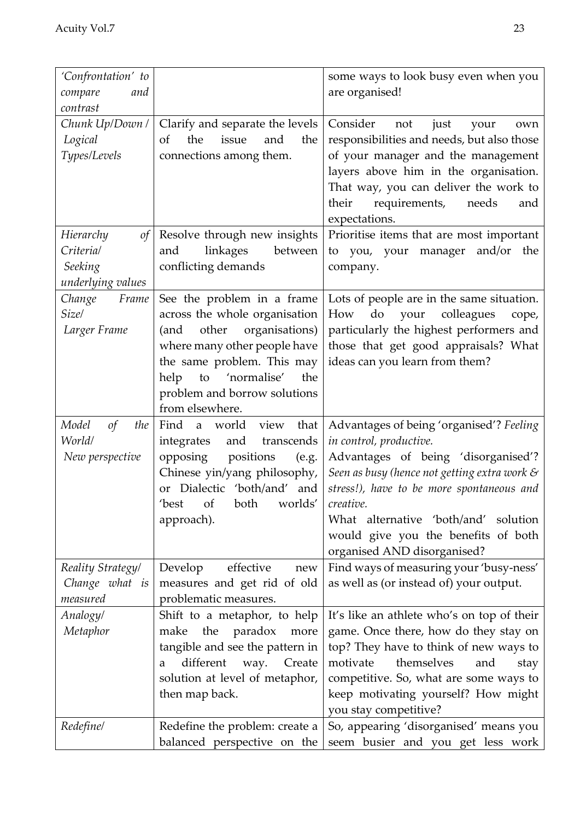| 'Confrontation' to                   |                                                   | some ways to look busy even when you                                |
|--------------------------------------|---------------------------------------------------|---------------------------------------------------------------------|
| compare<br>and                       |                                                   | are organised!                                                      |
| contrast                             |                                                   |                                                                     |
| Chunk Up/Down /                      | Clarify and separate the levels                   | Consider<br>not<br>just<br>your<br>own                              |
| Logical                              | of<br>the<br>issue<br>and<br>the                  | responsibilities and needs, but also those                          |
| Types/Levels                         | connections among them.                           | of your manager and the management                                  |
|                                      |                                                   | layers above him in the organisation.                               |
|                                      |                                                   | That way, you can deliver the work to                               |
|                                      |                                                   | requirements,<br>their<br>needs<br>and                              |
|                                      |                                                   | expectations.                                                       |
| of<br>Hierarchy                      | Resolve through new insights                      | Prioritise items that are most important                            |
| Criteria/                            | linkages<br>and<br>between                        | to you, your manager and/or the                                     |
| Seeking                              | conflicting demands                               | company.                                                            |
| underlying values                    |                                                   |                                                                     |
| Change<br>Frame                      | See the problem in a frame                        | Lots of people are in the same situation.                           |
| Size/                                | across the whole organisation                     | do<br>How<br>your<br>colleagues<br>cope,                            |
| Larger Frame                         | other<br>organisations)<br>(and                   | particularly the highest performers and                             |
|                                      | where many other people have                      | those that get good appraisals? What                                |
|                                      | the same problem. This may                        | ideas can you learn from them?                                      |
|                                      | to 'normalise'<br>the<br>help                     |                                                                     |
|                                      | problem and borrow solutions                      |                                                                     |
|                                      | from elsewhere.                                   |                                                                     |
| Model<br>$\sigma f$<br>the<br>World/ | Find<br>a world view<br>that<br>and<br>transcends | Advantages of being 'organised'? Feeling<br>in control, productive. |
| New perspective                      | integrates<br>opposing<br>positions<br>(e.g.      | Advantages of being 'disorganised'?                                 |
|                                      | Chinese yin/yang philosophy,                      | Seen as busy (hence not getting extra work $\mathcal S$             |
|                                      | Dialectic 'both/and' and<br><b>or</b>             | stress!), have to be more spontaneous and                           |
|                                      | worlds'<br>'best<br>of<br>both                    | creative.                                                           |
|                                      | approach).                                        | What alternative 'both/and' solution                                |
|                                      |                                                   | would give you the benefits of both                                 |
|                                      |                                                   | organised AND disorganised?                                         |
| Reality Strategy/                    | effective<br>Develop<br>new                       | Find ways of measuring your 'busy-ness'                             |
| Change what is                       | measures and get rid of old                       | as well as (or instead of) your output.                             |
| measured                             | problematic measures.                             |                                                                     |
| Analogy/                             | Shift to a metaphor, to help                      | It's like an athlete who's on top of their                          |
| Metaphor                             | paradox<br>the<br>make<br>more                    | game. Once there, how do they stay on                               |
|                                      | tangible and see the pattern in                   | top? They have to think of new ways to                              |
|                                      | different<br>Create<br>way.<br>a                  | themselves<br>motivate<br>and<br>stay                               |
|                                      | solution at level of metaphor,                    | competitive. So, what are some ways to                              |
|                                      | then map back.                                    | keep motivating yourself? How might                                 |
|                                      |                                                   | you stay competitive?                                               |
| Redefine/                            | Redefine the problem: create a                    | So, appearing 'disorganised' means you                              |
|                                      | balanced perspective on the                       | seem busier and you get less work                                   |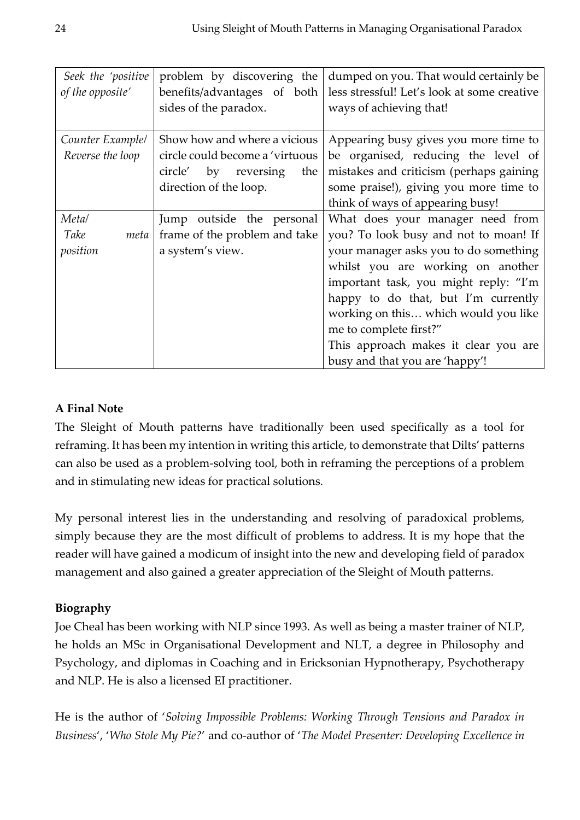| Seek the 'positive | problem by discovering the      | dumped on you. That would certainly be      |
|--------------------|---------------------------------|---------------------------------------------|
| of the opposite'   | benefits/advantages of both     | less stressful! Let's look at some creative |
|                    | sides of the paradox.           | ways of achieving that!                     |
|                    |                                 |                                             |
| Counter Example/   | Show how and where a vicious    | Appearing busy gives you more time to       |
| Reverse the loop   | circle could become a 'virtuous | be organised, reducing the level of         |
|                    | circle'<br>by reversing<br>the  | mistakes and criticism (perhaps gaining     |
|                    | direction of the loop.          | some praise!), giving you more time to      |
|                    |                                 | think of ways of appearing busy!            |
| Meta/              | Jump outside the personal       | What does your manager need from            |
| Take<br>meta       | frame of the problem and take   | you? To look busy and not to moan! If       |
| position           | a system's view.                | your manager asks you to do something       |
|                    |                                 | whilst you are working on another           |
|                    |                                 | important task, you might reply: "I'm       |
|                    |                                 | happy to do that, but I'm currently         |
|                    |                                 | working on this which would you like        |
|                    |                                 | me to complete first?"                      |
|                    |                                 | This approach makes it clear you are        |
|                    |                                 | busy and that you are 'happy'!              |

#### **A Final Note**

The Sleight of Mouth patterns have traditionally been used specifically as a tool for reframing. It has been my intention in writing this article, to demonstrate that Dilts' patterns can also be used as a problem-solving tool, both in reframing the perceptions of a problem and in stimulating new ideas for practical solutions.

My personal interest lies in the understanding and resolving of paradoxical problems, simply because they are the most difficult of problems to address. It is my hope that the reader will have gained a modicum of insight into the new and developing field of paradox management and also gained a greater appreciation of the Sleight of Mouth patterns.

#### **Biography**

Joe Cheal has been working with NLP since 1993. As well as being a master trainer of NLP, he holds an MSc in Organisational Development and NLT, a degree in Philosophy and Psychology, and diplomas in Coaching and in Ericksonian Hypnotherapy, Psychotherapy and NLP. He is also a licensed EI practitioner.

He is the author of '*Solving Impossible Problems: Working Through Tensions and Paradox in Business*', '*Who Stole My Pie?*' and co-author of '*The Model Presenter: Developing Excellence in*